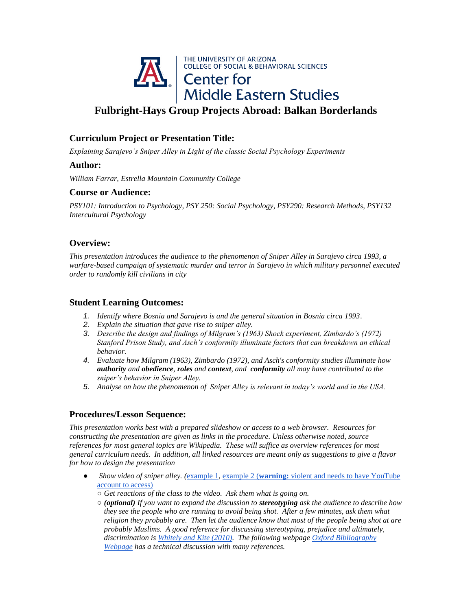

# **Fulbright-Hays Group Projects Abroad: Balkan Borderlands**

### **Curriculum Project or Presentation Title:**

*Explaining Sarajevo's Sniper Alley in Light of the classic Social Psychology Experiments*

#### **Author:**

*William Farrar, Estrella Mountain Community College*

#### **Course or Audience:**

*PSY101: Introduction to Psychology, PSY 250: Social Psychology, PSY290: Research Methods, PSY132 Intercultural Psychology*

### **Overview:**

*This presentation introduces the audience to the phenomenon of Sniper Alley in Sarajevo circa 1993, a warfare-based campaign of systematic murder and terror in Sarajevo in which military personnel executed order to randomly kill civilians in city*

### **Student Learning Outcomes:**

- *1. Identify where Bosnia and Sarajevo is and the general situation in Bosnia circa 1993.*
- *2. Explain the situation that gave rise to sniper alley.*
- *3. Describe the design and findings of Milgram's (1963) Shock experiment, Zimbardo's (1972) Stanford Prison Study, and Asch's conformity illuminate factors that can breakdown an ethical behavior.*
- *4. Evaluate how Milgram (1963), Zimbardo (1972), and Asch's conformity studies illuminate how authority and obedience, roles and context, and conformity all may have contributed to the sniper's behavior in Sniper Alley.*
- *5. Analyse on how the phenomenon of Sniper Alley is relevant in today's world and in the USA.*

## **Procedures/Lesson Sequence:**

*This presentation works best with a prepared slideshow or access to a web browser. Resources for constructing the presentation are given as links in the procedure. Unless otherwise noted, source references for most general topics are Wikipedia. These will suffice as overview references for most general curriculum needs. In addition, all linked resources are meant only as suggestions to give a flavor for how to design the presentation*

- *Show video of sniper alley.* ([example 1,](https://www.youtube.com/watch?v=33jYId5JLl4) [example 2 \(](https://www.youtube.com/watch?v=ZJKZ8QrdJpo&has_verified=1)**[warning:](https://www.youtube.com/watch?v=ZJKZ8QrdJpo&has_verified=1)** violent and needs to have YouTube [account to access\)](https://www.youtube.com/watch?v=ZJKZ8QrdJpo&has_verified=1)
	- *Get reactions of the class to the video. Ask them what is going on.*
	- *(optional) If you want to expand the discussion to stereotyping ask the audience to describe how they see the people who are running to avoid being shot. After a few minutes, ask them what religion they probably are. Then let the audience know that most of the people being shot at are probably Muslims. A good reference for discussing stereotyping, prejudice and ultimately, discrimination is [Whitely and Kite \(2010\).](https://books.google.com/books/about/The_Psychology_of_Prejudice_and_Discrimi.html?id=OUUCPQAACAAJ) The following webpag[e Oxford Bibliography](http://www.oxfordbibliographies.com/view/document/obo-9780199828340/obo-9780199828340-0097.xml#obo-9780199828340-0097-bibItem-0007)  [Webpage](http://www.oxfordbibliographies.com/view/document/obo-9780199828340/obo-9780199828340-0097.xml#obo-9780199828340-0097-bibItem-0007) has a technical discussion with many references.*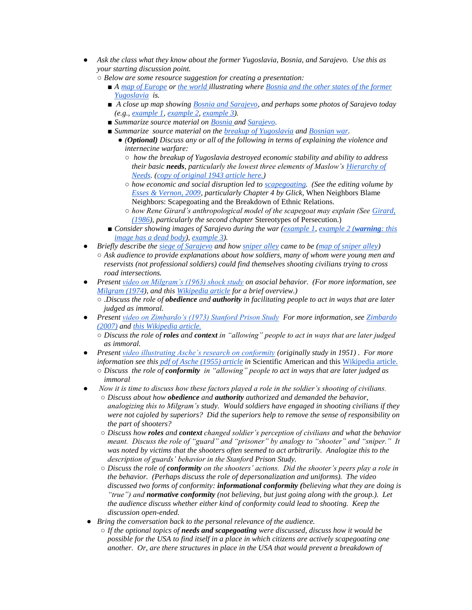- *Ask the class what they know about the former Yugoslavia, Bosnia, and Sarajevo. Use this as your starting discussion point.*
	- *Below are some resource suggestion for creating a presentation:*
		- *A* [map of Europe](http://travelquaz.com/wp-content/uploads/2015/09/bosnia-u201cthe-bridge-on-the-drina-u201d-by-ivo-andric-203-voices.jpg) o[r the world i](http://ontheworldmap.com/bosnia-and-herzegovina/bosnia-and-herzegovina-location-map.jpg)llustrating where Bosnia and the other states of the former *[Yugoslavia](http://www.icty.org/x/image/ABOUTimagery/Yugoslavia%20maps/3_%20yugoslavia_map_2008_sml_en.png) is.*
		- *A close up map showing <u>Bosnia and Sarajevo</u>, and perhaps some photos of Sarajevo today (e.g., [example 1,](https://www.mywanderlust.pl/wp-content/uploads/2015/02/bascarsija-sarajevo.jpg) [example 2,](http://sarajevo.travel/assets/photos/texts/original/a-winter-weekend-in-sarajevo-1420804400.jpg) [example 3\)](http://www.nationalgeographic.com/content/dam/travel/rights-exempt/Travel-2016/Where-The-Locals-Go/Sarajevo/old-town-bascarsija-sarajevo.jpg).*
		- *Summarize source material on [Bosnia a](https://en.wikipedia.org/wiki/Bosnia_and_Herzegovina)nd [Sarajevo.](https://en.wikipedia.org/wiki/Sarajevo)*
		- *Summarize source material on th[e breakup of Yugoslavia](https://en.wikipedia.org/wiki/Breakup_of_Yugoslavia) an[d Bosnian war.](https://en.wikipedia.org/wiki/Bosnian_War)* 
			- *(Optional) Discuss any or all of the following in terms of explaining the violence and internecine warfare:*
				- *how the breakup of Yugoslavia destroyed economic stability and ability to address their basic needs, particularly the lowest three elements of Maslow's [Hierarchy of](https://en.wikipedia.org/wiki/Maslow%27s_hierarchy_of_needs)  [Needs.](https://en.wikipedia.org/wiki/Maslow%27s_hierarchy_of_needs) [\(copy of original 1943 article here.\)](http://psychclassics.yorku.ca/Maslow/motivation.htm)*
				- *how economic and social disruption led to [scapegoating.](https://en.wikipedia.org/wiki/Scapegoating) (See the editing volume by [Esses & Vernon, 2009,](https://books.google.com/books?id=-8UEryg54fsC) particularly Chapter 4 by Glick,* When Neighbors Blame Neighbors: Scapegoating and the Breakdown of Ethnic Relations.
				- *how Rene Girard's anthropological model of the scapegoat may explain (See [Girard,](https://books.google.com/books/about/The_Scapegoat.html?id=7-PYAAAAMAAJ)  [\(1986\)](https://books.google.com/books/about/The_Scapegoat.html?id=7-PYAAAAMAAJ), particularly the second chapter* Stereotypes of Persecution.)
		- *Consider showing images of Sarajevo during the war [\(example 1,](https://cdn.theatlantic.com/assets/media/img/photo/2012/04/20-years-since-the-bosnian-war/b40_RTR2N3FY/main_900.jpg?1423856551) [example 2 \(](http://3.bp.blogspot.com/-aVuC8_uFUSs/Thf6OiqgBDI/AAAAAAAAAII/iMrYwNcnczk/s640/Sarajevo+%2528Genocid+u+Bosni%2529+23.jpg)[warning](http://3.bp.blogspot.com/-aVuC8_uFUSs/Thf6OiqgBDI/AAAAAAAAAII/iMrYwNcnczk/s640/Sarajevo+%2528Genocid+u+Bosni%2529+23.jpg): this [image has a dead body\)](http://3.bp.blogspot.com/-aVuC8_uFUSs/Thf6OiqgBDI/AAAAAAAAAII/iMrYwNcnczk/s640/Sarajevo+%2528Genocid+u+Bosni%2529+23.jpg), [example 3\)](http://www.aegeegoldentimes.eu/wp-content/uploads/2012/04/Sarajevo24.jpg).*
- *Briefly describe the [siege of Sarajevo](https://en.wikipedia.org/wiki/Siege_of_Sarajevo) and how [sniper alley](https://en.wikipedia.org/wiki/Sniper_Alley) came to be [\(map of sniper alley\)](http://www.pippins.me.uk/2009%20Bosnia/images/Bosnia-1715%20Sarajevo%20map.jpg)*
	- *Ask audience to provide explanations about how soldiers, many of whom were young men and reservists (not professional soldiers) could find themselves shooting civilians trying to cross road intersections.*
- *Present [video on Milgram's \(1963\) shock study](https://www.youtube.com/watch?time_continue=13&v=Kzd6Ew3TraA) on asocial behavior. (For more information, see [Milgram \(1974\)](https://books.google.com/books/about/Obedience_to_Authority.html?id=vYGA45EODOgC), and thi[s Wikipedia article](https://en.wikipedia.org/wiki/Milgram_experiment) for a brief overview.)*
	- *.Discuss the role of obedience and authority in facilitating people to act in ways that are later judged as immoral.*
- *Present [video on Zimbardo's \(1973\) Stanford Prison Study](https://www.youtube.com/watch?v=sZwfNs1pqG0) For more information, see [Zimbardo](https://books.google.com/books/about/The_Lucifer_Effect.html?id=vjeHCA6i4IAC)  [\(2007\)](https://books.google.com/books/about/The_Lucifer_Effect.html?id=vjeHCA6i4IAC) an[d this Wikipedia article.](https://en.wikipedia.org/wiki/Stanford_prison_experiment)*
	- *Discuss the role of roles and context in "allowing" people to act in ways that are later judged as immoral.*
- *Present [video illustrating Asche's research on conformity](https://www.youtube.com/watch?v=TYIh4MkcfJA) (originally study in 1951) . For more information see this [pdf of Asche \(1955\) article](http://www.bridgetutoring.co.uk/download/i/mark_dl/u/4008169036/4612592015/Solomon+Asch+-+Original+article.pdf) in* Scientific American and this [Wikipedia article.](https://en.wikipedia.org/wiki/Asch_conformity_experiments) ○ *Discuss the role of conformity in "allowing" people to act in ways that are later judged as immoral*
- *Now it is time to discuss how these factors played a role in the soldier's shooting of civilians.*
	- *Discuss about how obedience and authority authorized and demanded the behavior, analogizing this to Milgram's study. Would soldiers have engaged in shooting civilians if they were not cajoled by superiors? Did the superiors help to remove the sense of responsibility on the part of shooters?*
	- *Discuss how roles and context changed soldier's perception of civilians and what the behavior meant. Discuss the role of "guard" and "prisoner" by analogy to "shooter" and "sniper." It was noted by victims that the shooters often seemed to act arbitrarily. Analogize this to the description of guards' behavior in the Stanford Prison Study.*
	- *Discuss the role of conformity on the shooters' actions. Did the shooter's peers play a role in the behavior. (Perhaps discuss the role of depersonalization and uniforms). The video discussed two forms of conformity: informational conformity (believing what they are doing is "true") and normative conformity (not believing, but just going along with the group.). Let the audience discuss whether either kind of conformity could lead to shooting. Keep the discussion open-ended.*
- *Bring the conversation back to the personal relevance of the audience.* 
	- *If the optional topics of needs and scapegoating were discussed, discuss how it would be possible for the USA to find itself in a place in which citizens are actively scapegoating one another. Or, are there structures in place in the USA that would prevent a breakdown of*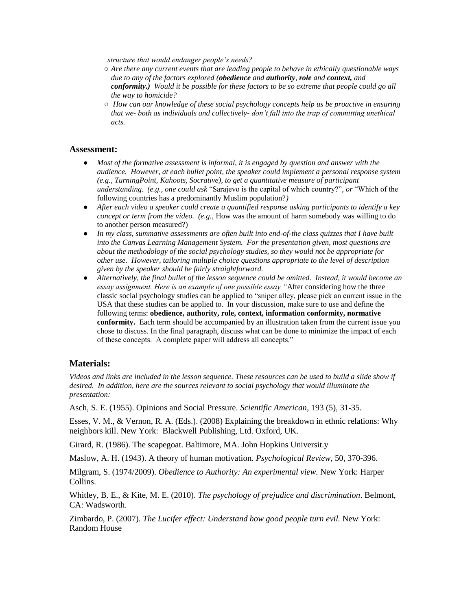*structure that would endanger people's needs?*

- *Are there any current events that are leading people to behave in ethically questionable ways due to any of the factors explored (obedience and authority, role and context, and conformity.) Would it be possible for these factors to be so extreme that people could go all the way to homicide?*
- *How can our knowledge of these social psychology concepts help us be proactive in ensuring that we- both as individuals and collectively- don't fall into the trap of committing unethical acts.*

#### **Assessment:**

- *Most of the formative assessment is informal, it is engaged by question and answer with the audience. However, at each bullet point, the speaker could implement a personal response system (e.g., TurningPoint, Kahoots, Socrative), to get a quantitative measure of participant understanding. (e.g., one could ask* "Sarajevo is the capital of which country?"*, or* "Which of the following countries has a predominantly Muslim population?*)*
- *After each video a speaker could create a quantified response asking participants to identify a key concept or term from the video.* (e.g., How was the amount of harm somebody was willing to do to another person measured?)
- *In my class, summative assessments are often built into end-of-the class quizzes that I have built into the Canvas Learning Management System. For the presentation given, most questions are about the methodology of the social psychology studies, so they would not be appropriate for other use. However, tailoring multiple choice questions appropriate to the level of description given by the speaker should be fairly straightforward.*
- *Alternatively, the final bullet of the lesson sequence could be omitted. Instead, it would become an essay assignment. Here is an example of one possible essay "*After considering how the three classic social psychology studies can be applied to "sniper alley, please pick an current issue in the USA that these studies can be applied to. In your discussion, make sure to use and define the following terms: **obedience, authority, role, context, information conformity, normative conformity.** Each term should be accompanied by an illustration taken from the current issue you chose to discuss. In the final paragraph, discuss what can be done to minimize the impact of each of these concepts. A complete paper will address all concepts."

#### **Materials:**

*Videos and links are included in the lesson sequence. These resources can be used to build a slide show if desired. In addition, here are the sources relevant to social psychology that would illuminate the presentation:*

Asch, S. E. (1955). Opinions and Social Pressure. *Scientific American*, 193 (5), 31-35.

Esses, V. M., & Vernon, R. A. (Eds.). (2008) Explaining the breakdown in ethnic relations: Why neighbors kill. New York: Blackwell Publishing, Ltd. Oxford, UK.

Girard, R. (1986). The scapegoat. Baltimore, MA. John Hopkins Universit.y

Maslow, A. H. (1943). A theory of human motivation. *Psychological Review*, 50, 370-396.

Milgram, S. (1974/2009). *Obedience to Authority: An experimental view.* New York: Harper Collins.

Whitley, B. E., & Kite, M. E. (2010). *The psychology of prejudice and discrimination*. Belmont, CA: Wadsworth.

Zimbardo, P. (2007). *The Lucifer effect: Understand how good people turn evil.* New York: Random House